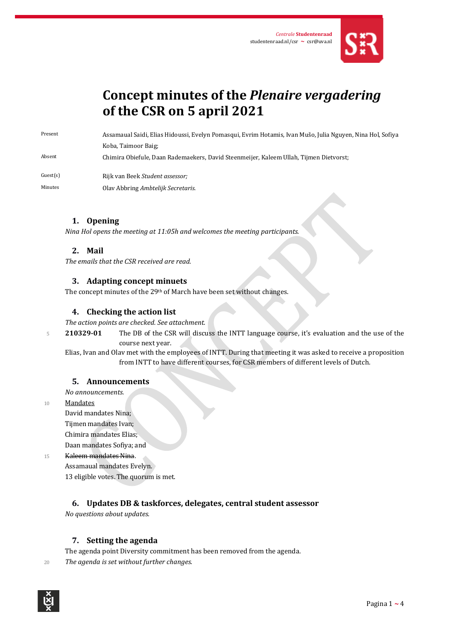

# **Concept minutes of the** *Plenaire vergadering* **of the CSR on 5 april 2021**

Present Assamaual Saidi, Elias Hidoussi, Evelyn Pomasqui, Evrim Hotamis, Ivan Mušo, Julia Nguyen, Nina Hol, Sofiya Koba, Taimoor Baig;

Absent Chimira Obiefule, Daan Rademaekers, David Steenmeijer, Kaleem Ullah, Tijmen Dietvorst;

Guest(s) Rijk van Beek *Student assessor;*

Minutes Olav Abbring *Ambtelijk Secretaris*.

#### **1. Opening**

*Nina Hol opens the meeting at 11:05h and welcomes the meeting participants.* 

#### **2. Mail**

*The emails that the CSR received are read.*

#### **3. Adapting concept minuets**

The concept minutes of the 29<sup>th</sup> of March have been set without changes.

# **4. Checking the action list**

*The action points are checked. See attachment.*

<sup>5</sup> **210329-01** The DB of the CSR will discuss the INTT language course, it's evaluation and the use of the course next year.

Elias, Ivan and Olav met with the employees of INTT. During that meeting it was asked to receive a proposition from INTT to have different courses, for CSR members of different levels of Dutch.

#### **5. Announcements**

*No announcements.*

10 Mandates

David mandates Nina; Tijmen mandates Ivan; Chimira mandates Elias; Daan mandates Sofiya; and

#### 15 Kaleem mandates Nina.

Assamaual mandates Evelyn. 13 eligible votes. The quorum is met.

# **6. Updates DB & taskforces, delegates, central student assessor**

*No questions about updates.*

# **7. Setting the agenda**

The agenda point Diversity commitment has been removed from the agenda.

<sup>20</sup> *The agenda is set without further changes.*

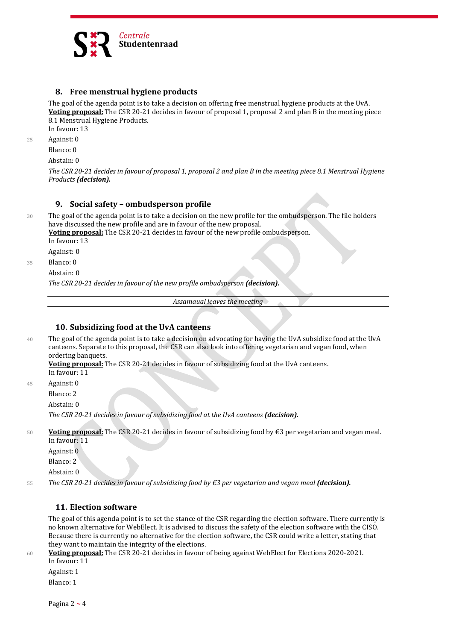

## **8. Free menstrual hygiene products**

The goal of the agenda point is to take a decision on offering free menstrual hygiene products at the UvA. **Voting proposal:** The CSR 20-21 decides in favour of proposal 1, proposal 2 and plan B in the meeting piece 8.1 Menstrual Hygiene Products.

In favour: 13

25 Against: 0

Blanco: 0

Abstain: 0

*The CSR 20-21 decides in favour of proposal 1, proposal 2 and plan B in the meeting piece 8.1 Menstrual Hygiene Products (decision).*

#### **9. Social safety – ombudsperson profile**

30 The goal of the agenda point is to take a decision on the new profile for the ombudsperson. The file holders have discussed the new profile and are in favour of the new proposal.

**Voting proposal:** The CSR 20-21 decides in favour of the new profile ombudsperson.

In favour: 13

Against: 0

35 Blanco: 0

Abstain: 0

*The CSR 20-21 decides in favour of the new profile ombudsperson (decision).*

*Assamaual leaves the meeting*

#### **10. Subsidizing food at the UvA canteens**

40 The goal of the agenda point is to take a decision on advocating for having the UvA subsidize food at the UvA canteens. Separate to this proposal, the CSR can also look into offering vegetarian and vegan food, when ordering banquets.

**Voting proposal:** The CSR 20-21 decides in favour of subsidizing food at the UvA canteens. In favour: 11

45 Against: 0

Blanco: 2

Abstain: 0

*The CSR 20-21 decides in favour of subsidizing food at the UvA canteens (decision).*

<sup>50</sup> **Voting proposal:** The CSR 20-21 decides in favour of subsidizing food by €3 per vegetarian and vegan meal. In favour: 11

Against: 0

Blanco: 2

Abstain: 0

<sup>55</sup> *The CSR 20-21 decides in favour of subsidizing food by €3 per vegetarian and vegan meal (decision).*

# **11. Election software**

The goal of this agenda point is to set the stance of the CSR regarding the election software. There currently is no known alternative for WebElect. It is advised to discuss the safety of the election software with the CISO. Because there is currently no alternative for the election software, the CSR could write a letter, stating that they want to maintain the integrity of the elections.

<sup>60</sup> **Voting proposal:** The CSR 20-21 decides in favour of being against WebElect for Elections 2020-2021. In favour: 11

Against: 1

Blanco: 1

Pagina 2 **~** 4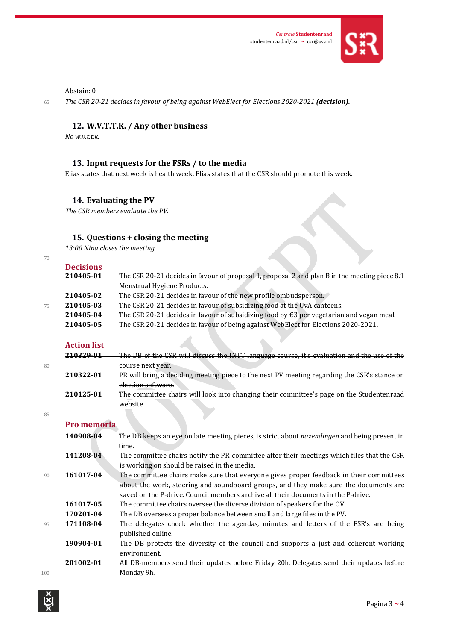

## Abstain: 0

<sup>65</sup> *The CSR 20-21 decides in favour of being against WebElect for Elections 2020-2021 (decision).*

# **12. W.V.T.T.K. / Any other business**

*No w.v.t.t.k.*

# **13. Input requests for the FSRs / to the media**

Elias states that next week is health week. Elias states that the CSR should promote this week.

# **14. Evaluating the PV**

*The CSR members evaluate the PV.*

# **15. Questions + closing the meeting**

*13:00 Nina closes the meeting.*

| Ξ | ٠           |
|---|-------------|
|   | I<br>$\sim$ |

|    | <b>Decisions</b> |                                                                                                    |
|----|------------------|----------------------------------------------------------------------------------------------------|
|    | 210405-01        | The CSR 20-21 decides in favour of proposal 1, proposal 2 and plan B in the meeting piece 8.1      |
|    |                  | Menstrual Hygiene Products.                                                                        |
|    | 210405-02        | The CSR 20-21 decides in favour of the new profile ombudsperson.                                   |
| 75 | 210405-03        | The CSR 20-21 decides in favour of subsidizing food at the UvA canteens.                           |
|    | 210405-04        | The CSR 20-21 decides in favour of subsidizing food by $\epsilon$ 3 per vegetarian and vegan meal. |
|    | 210405-05        | The CSR 20-21 decides in favour of being against WebElect for Elections 2020-2021.                 |
|    |                  |                                                                                                    |

# **Action list**

|    | 210220-01 | The DB of the CSR will discuss the INTT language course, it's evaluation and the use of the          |
|----|-----------|------------------------------------------------------------------------------------------------------|
| 80 |           | course next year.                                                                                    |
|    | 210322-01 | PR will bring a deciding meeting piece to the next PV meeting regarding the CSR's stance on          |
|    |           | election software.                                                                                   |
|    | 210125-01 | The committee chairs will look into changing their committee's page on the Studentenraad<br>website. |

85

# **Pro memoria**

|     | 1 I V MICMIUI IU |                                                                                                          |
|-----|------------------|----------------------------------------------------------------------------------------------------------|
|     | 140908-04        | The DB keeps an eye on late meeting pieces, is strict about <i>nazendingen</i> and being present in      |
|     |                  | time.                                                                                                    |
|     | 141208-04        | The committee chairs notify the PR-committee after their meetings which files that the CSR               |
|     |                  | is working on should be raised in the media.                                                             |
| 90  | 161017-04        | The committee chairs make sure that everyone gives proper feedback in their committees                   |
|     |                  | about the work, steering and soundboard groups, and they make sure the documents are                     |
|     |                  | saved on the P-drive. Council members archive all their documents in the P-drive.                        |
|     | 161017-05        | The committee chairs oversee the diverse division of speakers for the OV.                                |
|     | 170201-04        | The DB oversees a proper balance between small and large files in the PV.                                |
| 95  | 171108-04        | The delegates check whether the agendas, minutes and letters of the FSR's are being<br>published online. |
|     | 190904-01        | The DB protects the diversity of the council and supports a just and coherent working<br>environment.    |
| 100 | 201002-01        | All DB-members send their updates before Friday 20h. Delegates send their updates before<br>Monday 9h.   |